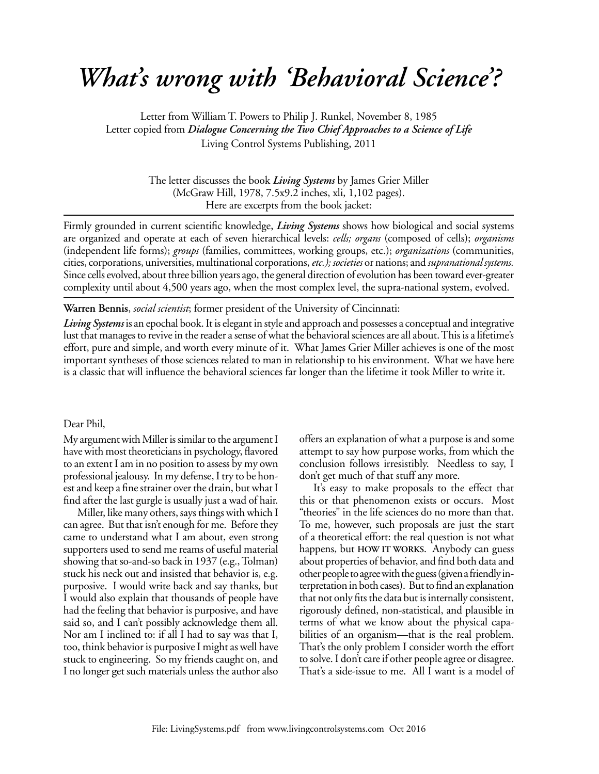## *What's wrong with 'Behavioral Science'?*

Letter from William T. Powers to Philip J. Runkel, November 8, 1985 Letter copied from *Dialogue Concerning the Two Chief Approaches to a Science of Life* Living Control Systems Publishing, 2011

> The letter discusses the book *Living Systems* by James Grier Miller (McGraw Hill, 1978, 7.5x9.2 inches, xli, 1,102 pages). Here are excerpts from the book jacket:

Firmly grounded in current scientific knowledge, *Living Systems* shows how biological and social systems are organized and operate at each of seven hierarchical levels: *cells; organs* (composed of cells); *organisms*  (independent life forms); *groups* (families, committees, working groups, etc.); *organizations* (communities, cities, corporations, universities, multinational corporations, *etc.); societies* or nations; and *supranational systems.*  Since cells evolved, about three billion years ago, the general direction of evolution has been toward ever-greater complexity until about 4,500 years ago, when the most complex level, the supra-national system, evolved.

**Warren Bennis**, *social scientist*; former president of the University of Cincinnati:

*Living Systems* is an epochal book. It is elegant in style and approach and possesses a conceptual and integrative lust that manages to revive in the reader a sense of what the behavioral sciences are all about. This is a lifetime's effort, pure and simple, and worth every minute of it. What James Grier Miller achieves is one of the most important syntheses of those sciences related to man in relationship to his environment. What we have here is a classic that will influence the behavioral sciences far longer than the lifetime it took Miller to write it.

## Dear Phil,

My argument with Miller is similar to the argument I have with most theoreticians in psychology, flavored to an extent I am in no position to assess by my own professional jealousy. In my defense, I try to be honest and keep a fine strainer over the drain, but what I find after the last gurgle is usually just a wad of hair.

Miller, like many others, says things with which I can agree. But that isn't enough for me. Before they came to understand what I am about, even strong supporters used to send me reams of useful material showing that so-and-so back in 1937 (e.g., Tolman) stuck his neck out and insisted that behavior is, e.g. purposive. I would write back and say thanks, but I would also explain that thousands of people have had the feeling that behavior is purposive, and have said so, and I can't possibly acknowledge them all. Nor am I inclined to: if all I had to say was that I, too, think behavior is purposive I might as well have stuck to engineering. So my friends caught on, and I no longer get such materials unless the author also offers an explanation of what a purpose is and some attempt to say how purpose works, from which the conclusion follows irresistibly. Needless to say, I don't get much of that stuff any more.

It's easy to make proposals to the effect that this or that phenomenon exists or occurs. Most "theories" in the life sciences do no more than that. To me, however, such proposals are just the start of a theoretical effort: the real question is not what happens, but **HOW IT WORKS.** Anybody can guess about properties of behavior, and find both data and other people to agree with the guess (given a friendly interpretation in both cases). But to find an explanation that not only fits the data but is internally consistent, rigorously defined, non-statistical, and plausible in terms of what we know about the physical capabilities of an organism—that is the real problem. That's the only problem I consider worth the effort to solve. I don't care if other people agree or disagree. That's a side-issue to me. All I want is a model of